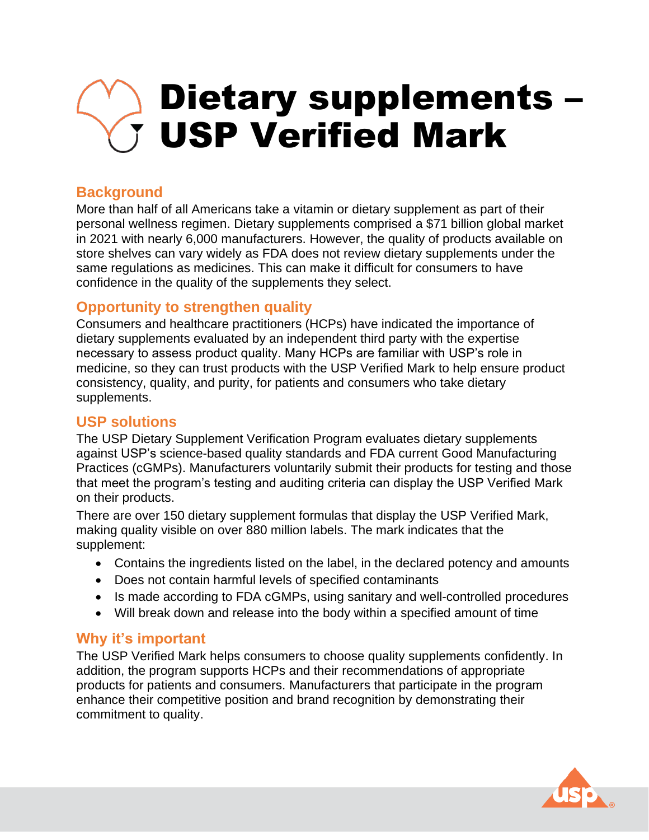# Dietary supplements – USP Verified Mark

## **Background**

More than half of all Americans take a vitamin or dietary supplement as part of their personal wellness regimen. Dietary supplements comprised a \$71 billion global market in 2021 with nearly 6,000 manufacturers. However, the quality of products available on store shelves can vary widely as FDA does not review dietary supplements under the same regulations as medicines. This can make it difficult for consumers to have confidence in the quality of the supplements they select.

## **Opportunity to strengthen quality**

Consumers and healthcare practitioners (HCPs) have indicated the importance of dietary supplements evaluated by an independent third party with the expertise necessary to assess product quality. Many HCPs are familiar with USP's role in medicine, so they can trust products with the USP Verified Mark to help ensure product consistency, quality, and purity, for patients and consumers who take dietary supplements.

#### **USP solutions**

The USP Dietary Supplement Verification Program evaluates dietary supplements against USP's science-based quality standards and FDA current Good Manufacturing Practices (cGMPs). Manufacturers voluntarily submit their products for testing and those that meet the program's testing and auditing criteria can display the USP Verified Mark on their products.

There are over 150 dietary supplement formulas that display the USP Verified Mark, making quality visible on over 880 million labels. The mark indicates that the supplement:

- Contains the ingredients listed on the label, in the declared potency and amounts
- Does not contain harmful levels of specified contaminants
- Is made according to FDA cGMPs, using sanitary and well-controlled procedures
- Will break down and release into the body within a specified amount of time

## **Why it's important**

The USP Verified Mark helps consumers to choose quality supplements confidently. In addition, the program supports HCPs and their recommendations of appropriate products for patients and consumers. Manufacturers that participate in the program enhance their competitive position and brand recognition by demonstrating their commitment to quality.